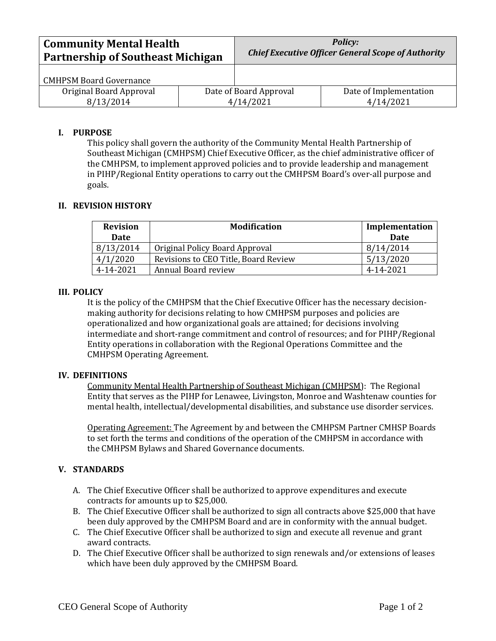| <b>Community Mental Health</b>           |  | <b>Policy:</b>                                            |                        |
|------------------------------------------|--|-----------------------------------------------------------|------------------------|
| <b>Partnership of Southeast Michigan</b> |  | <b>Chief Executive Officer General Scope of Authority</b> |                        |
| <b>CMHPSM Board Governance</b>           |  |                                                           |                        |
| Original Board Approval                  |  | Date of Board Approval                                    | Date of Implementation |
| 8/13/2014                                |  | 4/14/2021                                                 | 4/14/2021              |

## **I. PURPOSE**

This policy shall govern the authority of the Community Mental Health Partnership of Southeast Michigan (CMHPSM) Chief Executive Officer, as the chief administrative officer of the CMHPSM, to implement approved policies and to provide leadership and management in PIHP/Regional Entity operations to carry out the CMHPSM Board's over-all purpose and goals.

# **II. REVISION HISTORY**

| <b>Revision</b> | <b>Modification</b>                  | Implementation |
|-----------------|--------------------------------------|----------------|
| <b>Date</b>     |                                      | <b>Date</b>    |
| 8/13/2014       | Original Policy Board Approval       | 8/14/2014      |
| 4/1/2020        | Revisions to CEO Title, Board Review | 5/13/2020      |
| 4-14-2021       | Annual Board review                  | 4-14-2021      |

### **III. POLICY**

It is the policy of the CMHPSM that the Chief Executive Officer has the necessary decisionmaking authority for decisions relating to how CMHPSM purposes and policies are operationalized and how organizational goals are attained; for decisions involving intermediate and short-range commitment and control of resources; and for PIHP/Regional Entity operations in collaboration with the Regional Operations Committee and the CMHPSM Operating Agreement.

### **IV. DEFINITIONS**

Community Mental Health Partnership of Southeast Michigan (CMHPSM): The Regional Entity that serves as the PIHP for Lenawee, Livingston, Monroe and Washtenaw counties for mental health, intellectual/developmental disabilities, and substance use disorder services.

Operating Agreement: The Agreement by and between the CMHPSM Partner CMHSP Boards to set forth the terms and conditions of the operation of the CMHPSM in accordance with the CMHPSM Bylaws and Shared Governance documents.

### **V. STANDARDS**

- A. The Chief Executive Officer shall be authorized to approve expenditures and execute contracts for amounts up to \$25,000.
- B. The Chief Executive Officer shall be authorized to sign all contracts above \$25,000 that have been duly approved by the CMHPSM Board and are in conformity with the annual budget.
- C. The Chief Executive Officer shall be authorized to sign and execute all revenue and grant award contracts.
- D. The Chief Executive Officer shall be authorized to sign renewals and/or extensions of leases which have been duly approved by the CMHPSM Board.